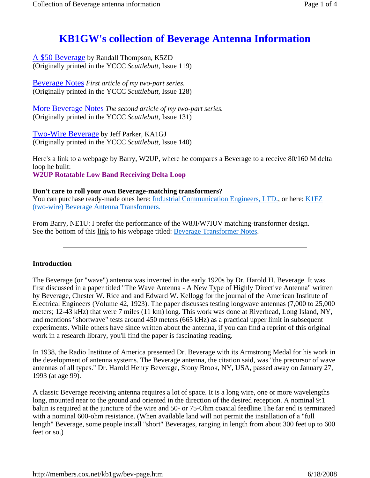# **KB1GW's collection of Beverage Antenna Information**

A \$50 Beverage by Randall Thompson, K5ZD (Originally printed in the YCCC *Scuttlebutt*, Issue 119)

Beverage Notes *First article of my two-part series.* (Originally printed in the YCCC *Scuttlebutt*, Issue 128)

More Beverage Notes *The second article of my two-part series.* (Originally printed in the YCCC *Scuttlebutt*, Issue 131)

Two-Wire Beverage by Jeff Parker, KA1GJ (Originally printed in the YCCC *Scuttlebutt*, Issue 140)

Here's a link to a webpage by Barry, W2UP, where he compares a Beverage to a receive 80/160 M delta loop he built: **W2UP Rotatable Low Band Receiving Delta Loop**

## **Don't care to roll your own Beverage-matching transformers?**

You can purchase ready-made ones here: Industrial Communication Engineers, LTD., or here: K1FZ (two-wire) Beverage Antenna Transformers.

From Barry, NE1U: I prefer the performance of the W8JI/W7IUV matching-transformer design. See the bottom of this link to his webpage titled: Beverage Transformer Notes.

### **Introduction**

The Beverage (or "wave") antenna was invented in the early 1920s by Dr. Harold H. Beverage. It was first discussed in a paper titled "The Wave Antenna - A New Type of Highly Directive Antenna" written by Beverage, Chester W. Rice and and Edward W. Kellogg for the journal of the American Institute of Electrical Engineers (Volume 42, 1923). The paper discusses testing longwave antennas (7,000 to 25,000 meters; 12-43 kHz) that were 7 miles (11 km) long. This work was done at Riverhead, Long Island, NY, and mentions "shortwave" tests around 450 meters (665 kHz) as a practical upper limit in subsequent experiments. While others have since written about the antenna, if you can find a reprint of this original work in a research library, you'll find the paper is fascinating reading.

In 1938, the Radio Institute of America presented Dr. Beverage with its Armstrong Medal for his work in the development of antenna systems. The Beverage antenna, the citation said, was "the precursor of wave antennas of all types." Dr. Harold Henry Beverage, Stony Brook, NY, USA, passed away on January 27, 1993 (at age 99).

A classic Beverage receiving antenna requires a lot of space. It is a long wire, one or more wavelengths long, mounted near to the ground and oriented in the direction of the desired reception. A nominal 9:1 balun is required at the juncture of the wire and 50- or 75-Ohm coaxial feedline.The far end is terminated with a nominal 600-ohm resistance. (When available land will not permit the installation of a "full length" Beverage, some people install "short" Beverages, ranging in length from about 300 feet up to 600 feet or so.)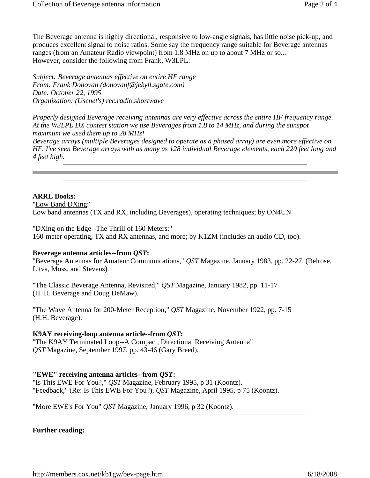The Beverage antenna is highly directional, responsive to low-angle signals, has little noise pick-up, and produces excellent signal to noise ratios. Some say the frequency range suitable for Beverage antennas ranges (from an Amateur Radio viewpoint) from 1.8 MHz on up to about 7 MHz or so... However, consider the following from Frank, W3LPL:

*Subject: Beverage antennas effective on entire HF range From: Frank Donovan (donovanf@jekyll.sgate.com) Date: October 22, 1995 Organization: (Usenet's) rec.radio.shortwave*

*Properly designed Beverage receiving antennas are very effective across the entire HF frequency range. At the W3LPL DX contest station we use Beverages from 1.8 to 14 MHz, and during the sunspot maximum we used them up to 28 MHz!*

*Beverage arrays (multiple Beverages designed to operate as a phased array) are even more effective on HF. I've seen Beverage arrays with as many as 128 individual Beverage elements, each 220 feet long and 4 feet high.*

#### **ARRL Books:**

"Low Band DXing:" Low band antennas (TX and RX, including Beverages), operating techniques; by ON4UN

"DXing on the Edge--The Thrill of 160 Meters:"

160-meter operating, TX and RX antennas, and more; by K1ZM (includes an audio CD, too).

#### **Beverage antenna articles--from** *QST***:**

"Beverage Antennas for Amateur Communications," *QST* Magazine, January 1983, pp. 22-27. (Belrose, Litva, Moss, and Stevens)

"The Classic Beverage Antenna, Revisited," *QST* Magazine, January 1982, pp. 11-17 (H. H. Beverage and Doug DeMaw).

"The Wave Antenna for 200-Meter Reception," *QST* Magazine, November 1922, pp. 7-15 (H.H. Beverage).

#### **K9AY receiving-loop antenna article--from** *QST***:**

"The K9AY Terminated Loop--A Compact, Directional Receiving Antenna" *QST* Magazine, September 1997, pp. 43-46 (Gary Breed).

**"EWE" receiving antenna articles--from** *QST***:**

"Is This EWE For You?," *QST* Magazine, February 1995, p 31 (Koontz). "Feedback," (Re: Is This EWE For You?), *QST* Magazine, April 1995, p 75 (Koontz).

"More EWE's For You" *QST* Magazine, January 1996, p 32 (Koontz).

#### **Further reading:**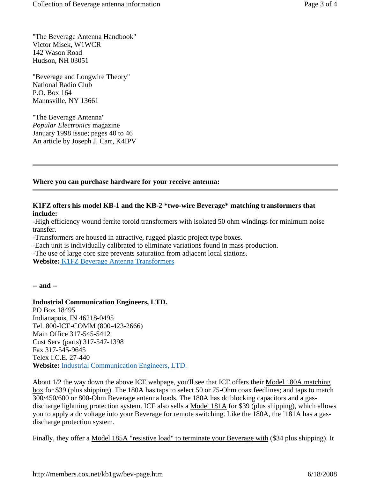"The Beverage Antenna Handbook" Victor Misek, W1WCR 142 Wason Road Hudson, NH 03051

"Beverage and Longwire Theory" National Radio Club P.O. Box 164 Mannsville, NY 13661

"The Beverage Antenna" *Popular Electronics* magazine January 1998 issue; pages 40 to 46 An article by Joseph J. Carr, K4IPV

#### **Where you can purchase hardware for your receive antenna:**

#### **K1FZ offers his model KB-1 and the KB-2 \*two-wire Beverage\* matching transformers that include:**

-High efficiency wound ferrite toroid transformers with isolated 50 ohm windings for minimum noise transfer.

-Transformers are housed in attractive, rugged plastic project type boxes.

-Each unit is individually calibrated to eliminate variations found in mass production.

-The use of large core size prevents saturation from adjacent local stations.

**Website:** K1FZ Beverage Antenna Transformers

**-- and --**

#### **Industrial Communication Engineers, LTD.**

PO Box 18495 Indianapois, IN 46218-0495 Tel. 800-ICE-COMM (800-423-2666) Main Office 317-545-5412 Cust Serv (parts) 317-547-1398 Fax 317-545-9645 Telex I.C.E. 27-440 **Website:** Industrial Communication Engineers, LTD.

About 1/2 the way down the above ICE webpage, you'll see that ICE offers their Model 180A matching box for \$39 (plus shipping). The 180A has taps to select 50 or 75-Ohm coax feedlines; and taps to match 300/450/600 or 800-Ohm Beverage antenna loads. The 180A has dc blocking capacitors and a gasdischarge lightning protection system. ICE also sells a Model 181A for \$39 (plus shipping), which allows you to apply a dc voltage into your Beverage for remote switching. Like the 180A, the '181A has a gasdischarge protection system.

Finally, they offer a Model 185A "resistive load" to terminate your Beverage with (\$34 plus shipping). It